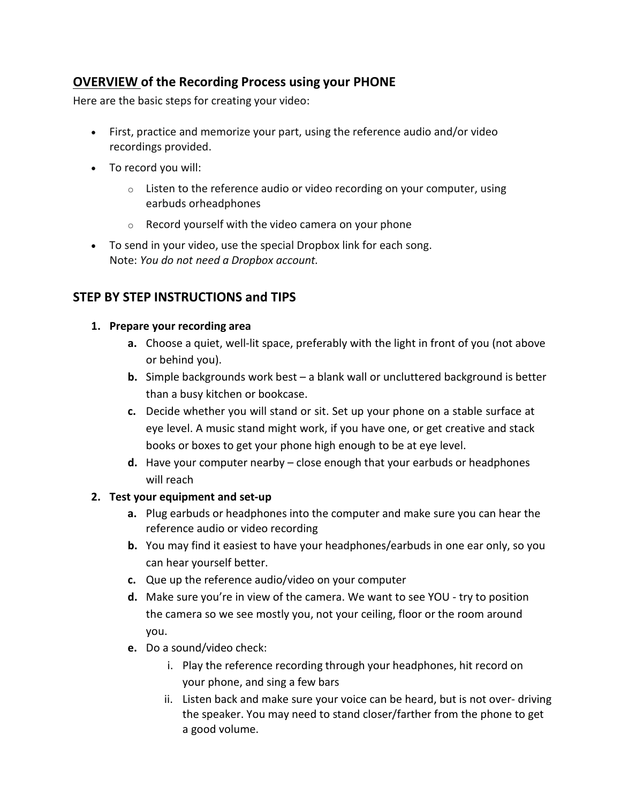# **OVERVIEW of the Recording Process using your PHONE**

Here are the basic steps for creating your video:

- First, practice and memorize your part, using the reference audio and/or video recordings provided.
- To record you will:
	- $\circ$  Listen to the reference audio or video recording on your computer, using earbuds orheadphones
	- o Record yourself with the video camera on your phone
- To send in your video, use the special Dropbox link for each song. Note: *You do not need a Dropbox account.*

# **STEP BY STEP INSTRUCTIONS and TIPS**

### **1. Prepare your recording area**

- **a.** Choose a quiet, well-lit space, preferably with the light in front of you (not above or behind you).
- **b.** Simple backgrounds work best a blank wall or uncluttered background is better than a busy kitchen or bookcase.
- **c.** Decide whether you will stand or sit. Set up your phone on a stable surface at eye level. A music stand might work, if you have one, or get creative and stack books or boxes to get your phone high enough to be at eye level.
- **d.** Have your computer nearby close enough that your earbuds or headphones will reach

## **2. Test your equipment and set-up**

- **a.** Plug earbuds or headphones into the computer and make sure you can hear the reference audio or video recording
- **b.** You may find it easiest to have your headphones/earbuds in one ear only, so you can hear yourself better.
- **c.** Que up the reference audio/video on your computer
- **d.** Make sure you're in view of the camera. We want to see YOU try to position the camera so we see mostly you, not your ceiling, floor or the room around you.
- **e.** Do a sound/video check:
	- i. Play the reference recording through your headphones, hit record on your phone, and sing a few bars
	- ii. Listen back and make sure your voice can be heard, but is not over- driving the speaker. You may need to stand closer/farther from the phone to get a good volume.